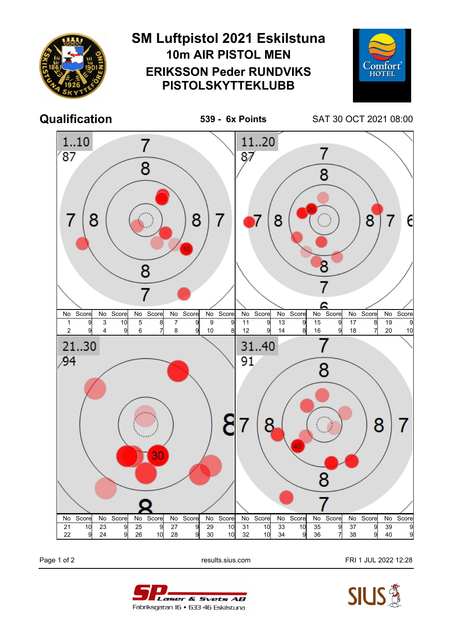